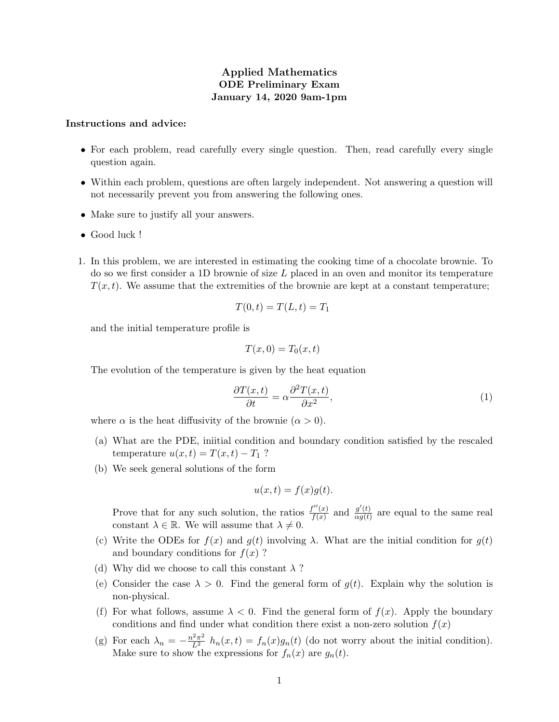## Applied Mathematics ODE Preliminary Exam January 14, 2020 9am-1pm

## Instructions and advice:

- For each problem, read carefully every single question. Then, read carefully every single question again.
- Within each problem, questions are often largely independent. Not answering a question will not necessarily prevent you from answering the following ones.
- Make sure to justify all your answers.
- Good luck !
- 1. In this problem, we are interested in estimating the cooking time of a chocolate brownie. To do so we first consider a 1D brownie of size  $L$  placed in an oven and monitor its temperature  $T(x, t)$ . We assume that the extremities of the brownie are kept at a constant temperature;

$$
T(0,t) = T(L,t) = T_1
$$

and the initial temperature profile is

$$
T(x,0) = T_0(x,t)
$$

The evolution of the temperature is given by the heat equation

$$
\frac{\partial T(x,t)}{\partial t} = \alpha \frac{\partial^2 T(x,t)}{\partial x^2},\tag{1}
$$

where  $\alpha$  is the heat diffusivity of the brownie  $(\alpha > 0)$ .

- (a) What are the PDE, iniitial condition and boundary condition satisfied by the rescaled temperature  $u(x,t) = T(x,t) - T_1$ ?
- (b) We seek general solutions of the form

$$
u(x,t) = f(x)g(t).
$$

Prove that for any such solution, the ratios  $\frac{f''(x)}{f(x)}$  $\frac{f''(x)}{f(x)}$  and  $\frac{g'(t)}{\alpha g(t)}$  $\frac{g(t)}{\alpha g(t)}$  are equal to the same real constant  $\lambda \in \mathbb{R}$ . We will assume that  $\lambda \neq 0$ .

- (c) Write the ODEs for  $f(x)$  and  $g(t)$  involving  $\lambda$ . What are the initial condition for  $g(t)$ and boundary conditions for  $f(x)$ ?
- (d) Why did we choose to call this constant  $\lambda$ ?
- (e) Consider the case  $\lambda > 0$ . Find the general form of  $g(t)$ . Explain why the solution is non-physical.
- (f) For what follows, assume  $\lambda < 0$ . Find the general form of  $f(x)$ . Apply the boundary conditions and find under what condition there exist a non-zero solution  $f(x)$
- (g) For each  $\lambda_n = -\frac{n^2 \pi^2}{L^2} h_n(x,t) = f_n(x) g_n(t)$  (do not worry about the initial condition). Make sure to show the expressions for  $f_n(x)$  are  $g_n(t)$ .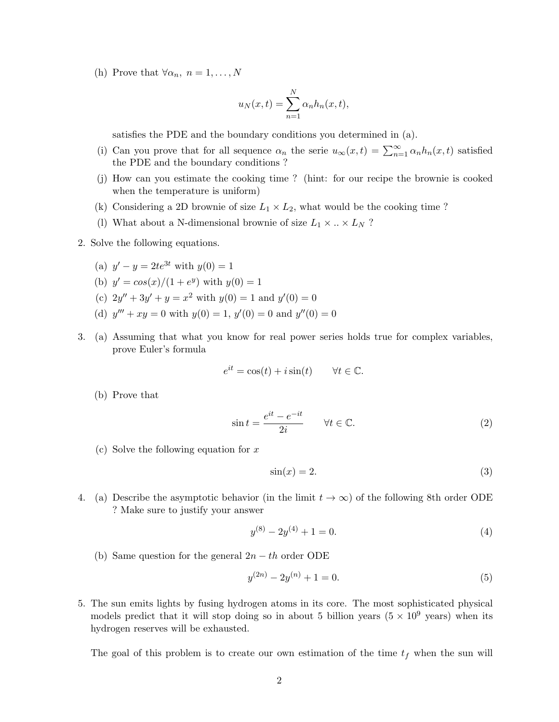(h) Prove that  $\forall \alpha_n, n = 1, \ldots, N$ 

$$
u_N(x,t) = \sum_{n=1}^N \alpha_n h_n(x,t),
$$

satisfies the PDE and the boundary conditions you determined in (a).

- (i) Can you prove that for all sequence  $\alpha_n$  the serie  $u_{\infty}(x,t) = \sum_{n=1}^{\infty} \alpha_n h_n(x,t)$  satisfied the PDE and the boundary conditions ?
- (j) How can you estimate the cooking time ? (hint: for our recipe the brownie is cooked when the temperature is uniform)
- (k) Considering a 2D brownie of size  $L_1 \times L_2$ , what would be the cooking time?
- (l) What about a N-dimensional brownie of size  $L_1 \times ... \times L_N$  ?
- 2. Solve the following equations.
	- (a)  $y' y = 2te^{3t}$  with  $y(0) = 1$
	- (b)  $y' = \cos(x)/(1 + e^y)$  with  $y(0) = 1$
	- (c)  $2y'' + 3y' + y = x^2$  with  $y(0) = 1$  and  $y'(0) = 0$
	- (d)  $y''' + xy = 0$  with  $y(0) = 1$ ,  $y'(0) = 0$  and  $y''(0) = 0$
- 3. (a) Assuming that what you know for real power series holds true for complex variables, prove Euler's formula

$$
e^{it} = \cos(t) + i\sin(t) \qquad \forall t \in \mathbb{C}.
$$

(b) Prove that

$$
\sin t = \frac{e^{it} - e^{-it}}{2i} \qquad \forall t \in \mathbb{C}.\tag{2}
$$

(c) Solve the following equation for  $x$ 

$$
\sin(x) = 2.\tag{3}
$$

4. (a) Describe the asymptotic behavior (in the limit  $t \to \infty$ ) of the following 8th order ODE ? Make sure to justify your answer

$$
y^{(8)} - 2y^{(4)} + 1 = 0.\t\t(4)
$$

(b) Same question for the general  $2n - th$  order ODE

$$
y^{(2n)} - 2y^{(n)} + 1 = 0.\t\t(5)
$$

5. The sun emits lights by fusing hydrogen atoms in its core. The most sophisticated physical models predict that it will stop doing so in about 5 billion years ( $5 \times 10^9$  years) when its hydrogen reserves will be exhausted.

The goal of this problem is to create our own estimation of the time  $t_f$  when the sun will